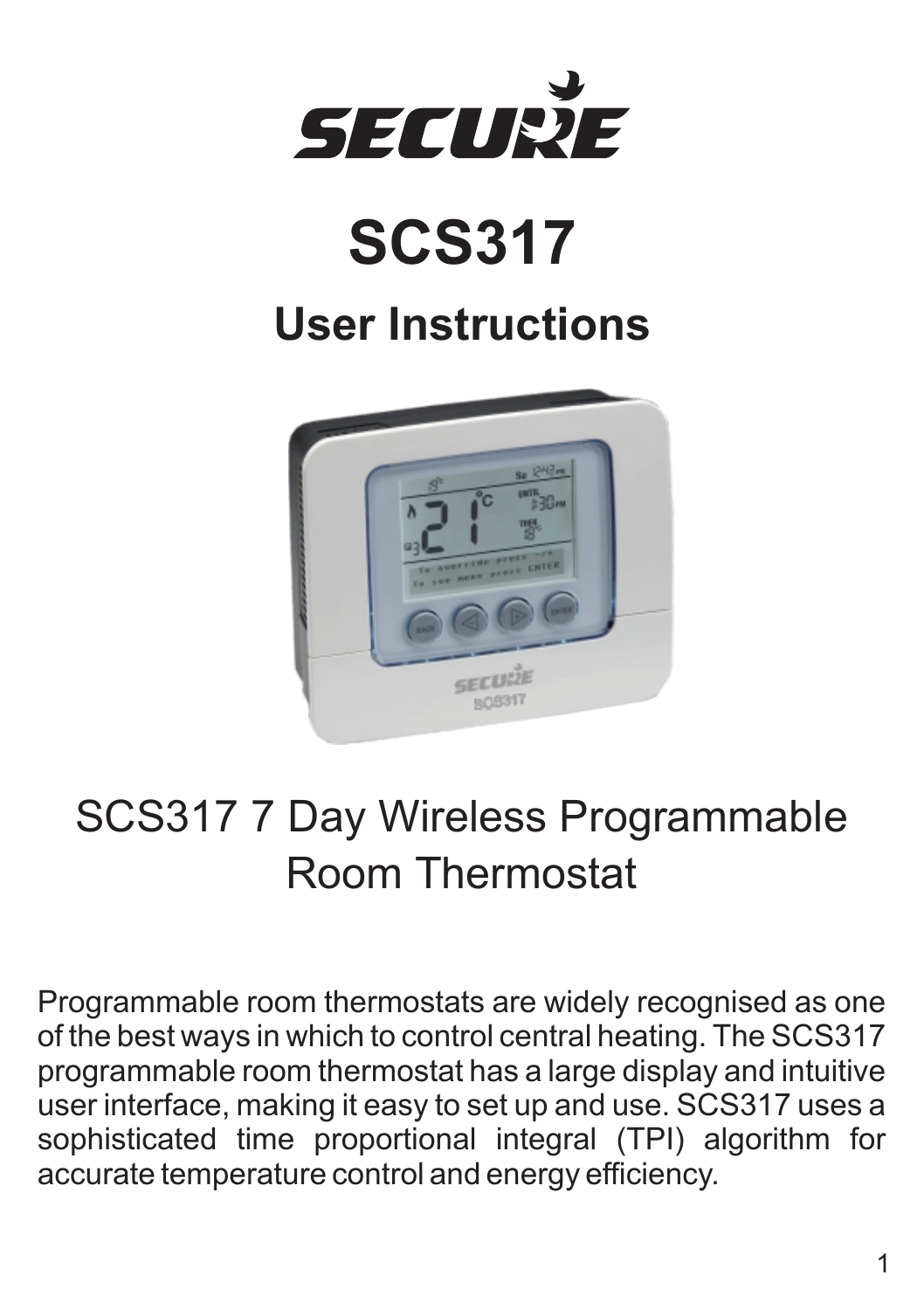

# **SCS317**

# **User Instructions**



# SCS317 7 Day Wireless Programmable Room Thermostat

Programmable room thermostats are widely recognised as one of the best ways in which to control central heating. The SCS317 programmable room thermostat has a large display and intuitive user interface, making it easy to set up and use. SCS317 uses a sophisticated time proportional integral (TPI) algorithm for accurate temperature control and energy efficiency.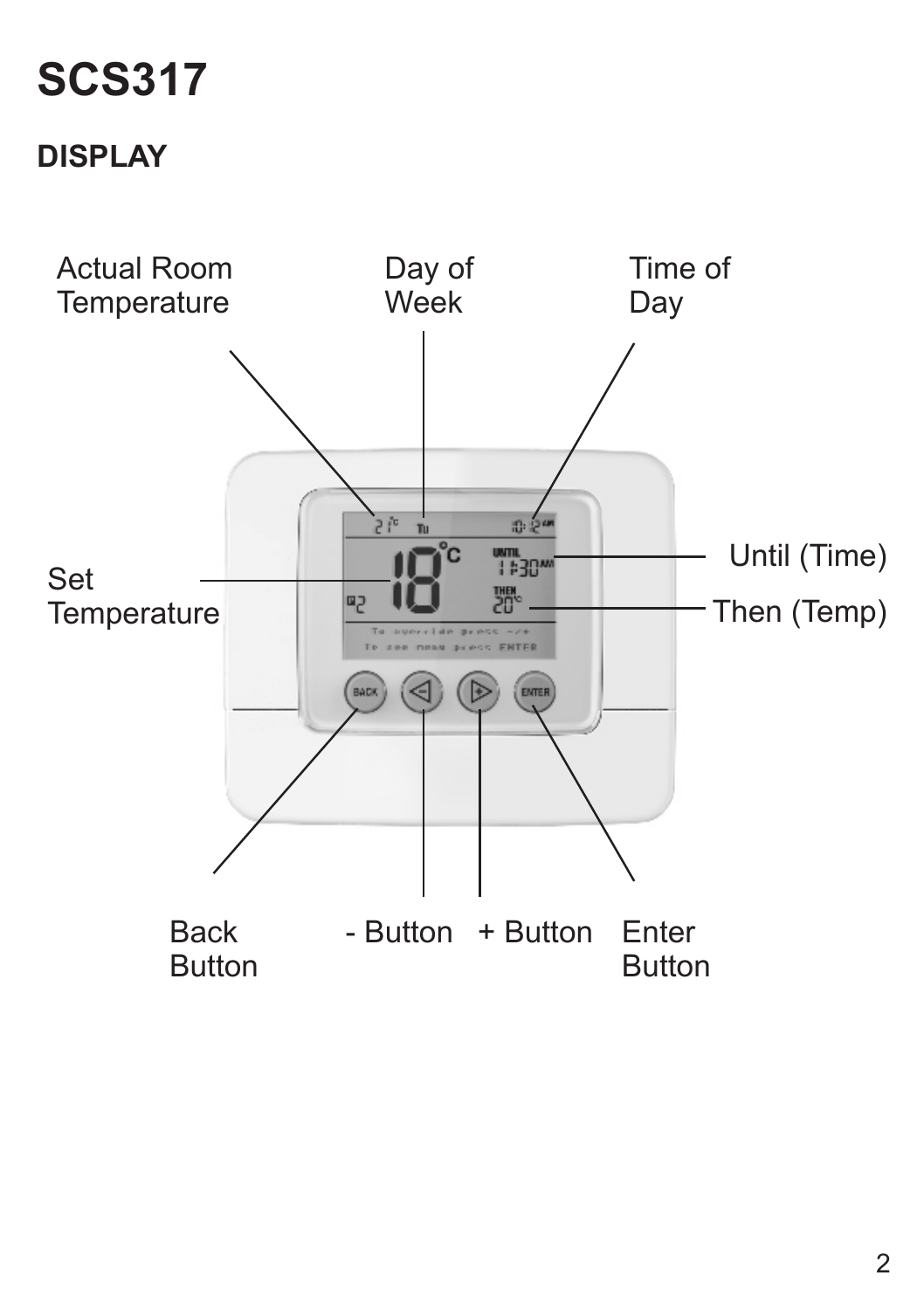# **SCS317**

# **DISPLAY**

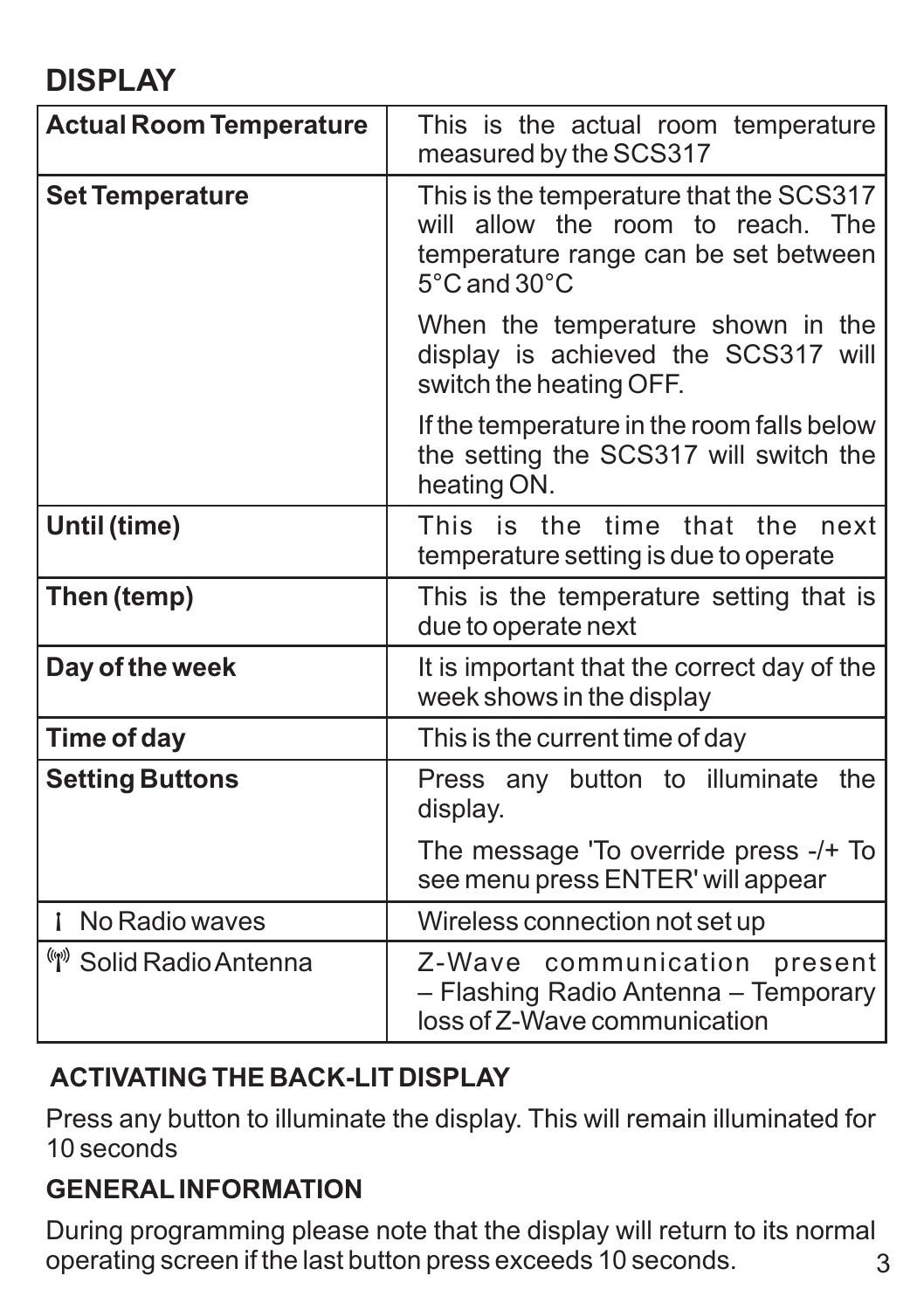#### **DISPLAY**

| <b>Actual Room Temperature</b> | This is the actual room temperature<br>measured by the SCS317                                                                                            |
|--------------------------------|----------------------------------------------------------------------------------------------------------------------------------------------------------|
| <b>Set Temperature</b>         | This is the temperature that the SCS317<br>will allow the room to reach. The<br>temperature range can be set between<br>$5^{\circ}$ C and $30^{\circ}$ C |
|                                | When the temperature shown in the<br>display is achieved the SCS317 will<br>switch the heating OFF.                                                      |
|                                | If the temperature in the room falls below<br>the setting the SCS317 will switch the<br>heating ON.                                                      |
| Until (time)                   | This is the time that the next<br>temperature setting is due to operate                                                                                  |
| Then (temp)                    | This is the temperature setting that is<br>due to operate next                                                                                           |
| Day of the week                | It is important that the correct day of the<br>week shows in the display                                                                                 |
| Time of day                    | This is the current time of day                                                                                                                          |
| <b>Setting Buttons</b>         | Press any button to illuminate the<br>display.                                                                                                           |
|                                | The message 'To override press -/+ To<br>see menu press ENTER' will appear                                                                               |
| <b>i</b> No Radio waves        | Wireless connection not set up                                                                                                                           |
| Solid Radio Antenna            | Z-Wave communication present<br>- Flashing Radio Antenna - Temporary<br>loss of Z-Wave communication                                                     |

#### **ACTIVATING THE BACK-LIT DISPLAY**

Press any button to illuminate the display. This will remain illuminated for 10 seconds

#### **GENERALINFORMATION**

During programming please note that the display will return to its normal operating screen if the last button press exceeds 10 seconds. 3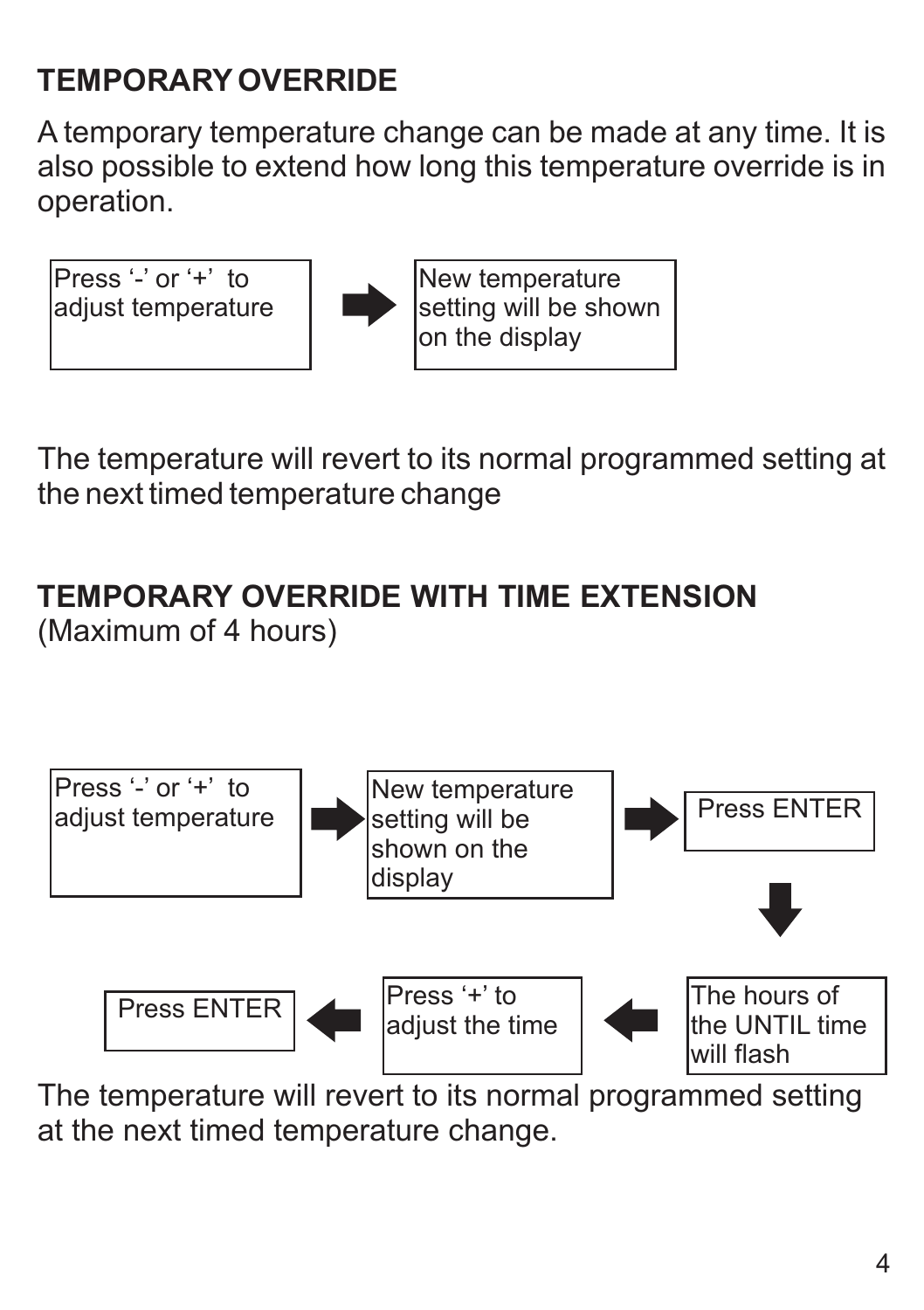# **TEMPORARYOVERRIDE**

A temporary temperature change can be made at any time. It is also possible to extend how long this temperature override is in operation.



The temperature will revert to its normal programmed setting at the next timed temperature change

# **TEMPORARY OVERRIDE WITH TIME EXTENSION**

(Maximum of 4 hours)



The temperature will revert to its normal programmed setting at the next timed temperature change.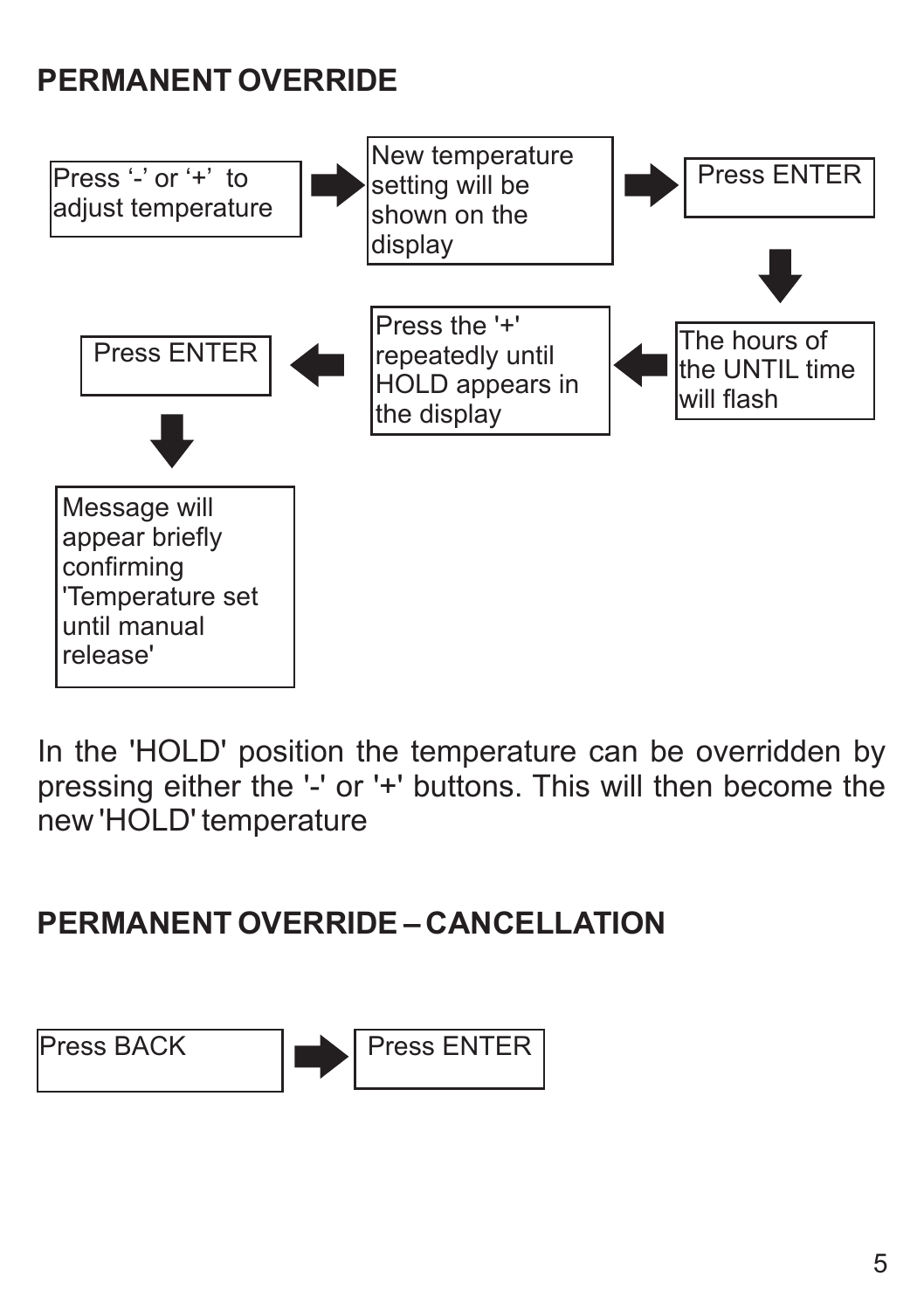# **PERMANENT OVERRIDE**



In the 'HOLD' position the temperature can be overridden by pressing either the '-' or '+' buttons. This will then become the new 'HOLD' temperature

#### **PERMANENT OVERRIDE – CANCELLATION**

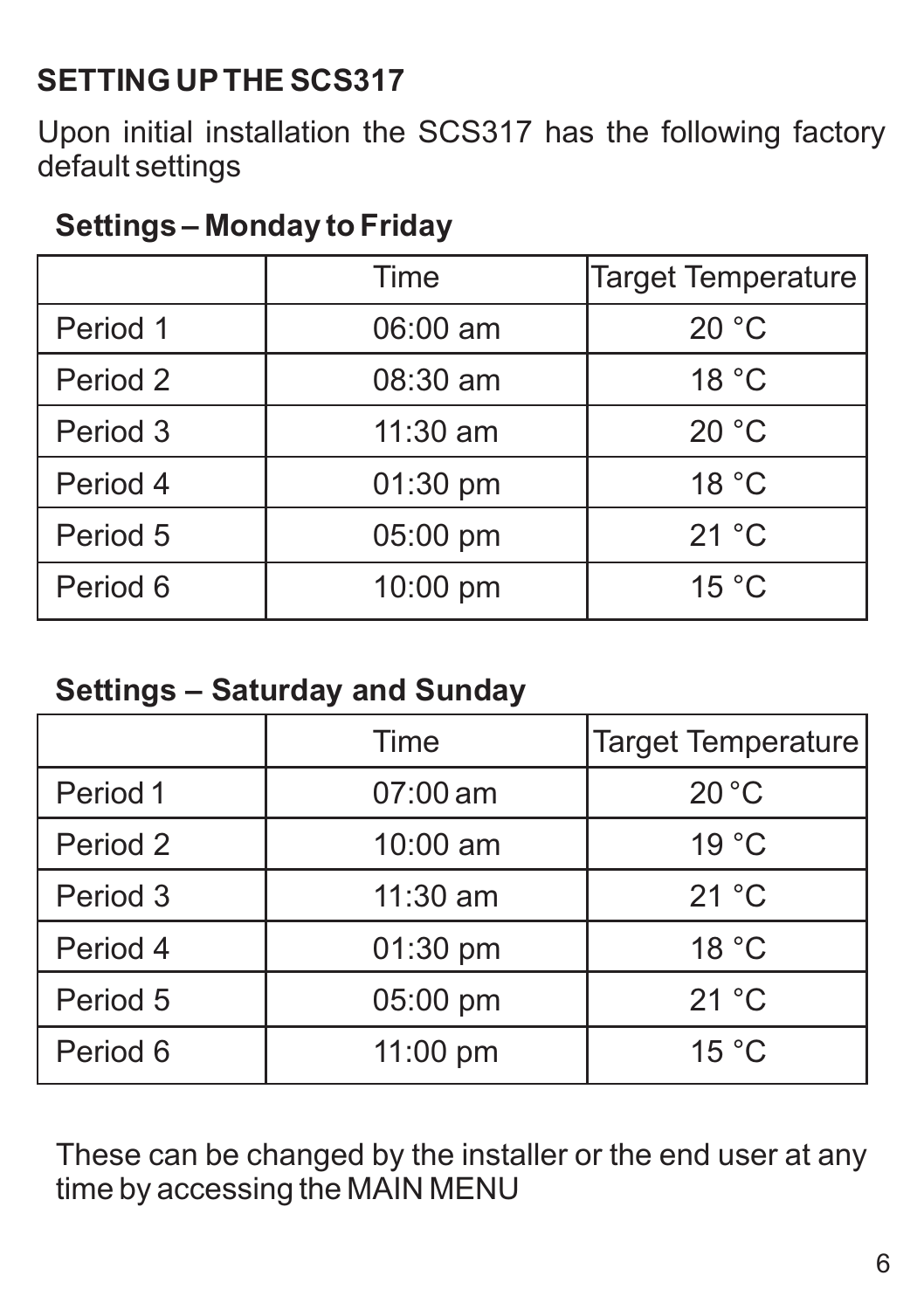## **SETTING UPTHE SCS317**

Upon initial installation the SCS317 has the following factory default settings

#### **Settings – Monday to Friday**

|          | Time       | <b>Target Temperature</b> |
|----------|------------|---------------------------|
| Period 1 | $06:00$ am | 20 °C                     |
| Period 2 | $08:30$ am | 18 °C                     |
| Period 3 | 11:30 am   | 20 °C                     |
| Period 4 | $01:30$ pm | 18 °C                     |
| Period 5 | 05:00 pm   | 21 °C                     |
| Period 6 | 10:00 pm   | 15 °C                     |

#### **Settings – Saturday and Sunday**

|          | Time       | Target Temperature |
|----------|------------|--------------------|
| Period 1 | $07:00$ am | 20 °C              |
| Period 2 | $10:00$ am | 19 °C              |
| Period 3 | $11:30$ am | 21 °C              |
| Period 4 | 01:30 pm   | 18 °C              |
| Period 5 | 05:00 pm   | 21 °C              |
| Period 6 | $11:00$ pm | 15 °C              |

These can be changed by the installer or the end user at any time by accessing the MAIN MENU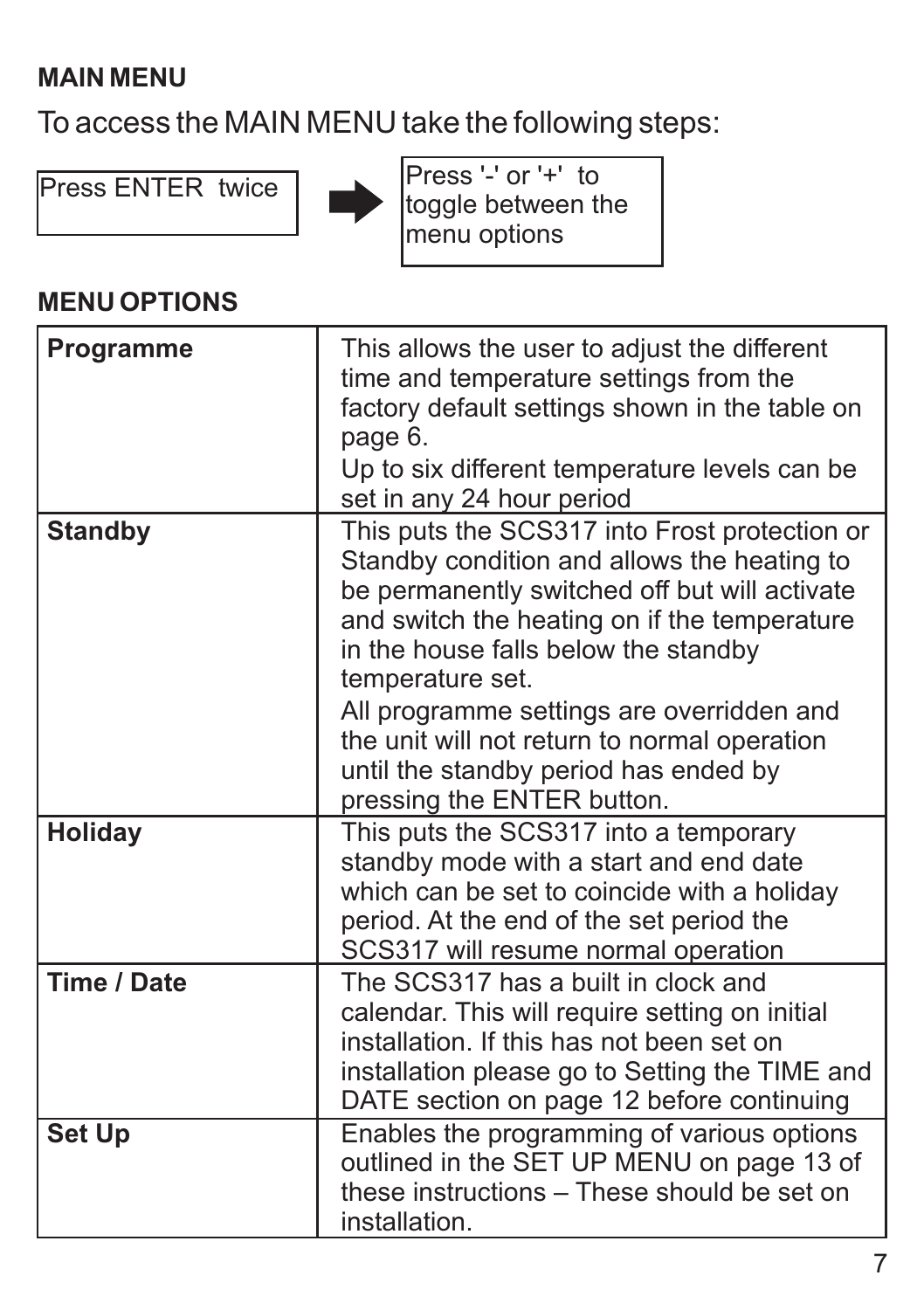#### **MAIN MENU**

To access the MAIN MENU take the following steps:



Press ENTER twice Press '-' or '+' to toggle between the menu options

#### **MENU OPTIONS**

| Programme   | This allows the user to adjust the different<br>time and temperature settings from the<br>factory default settings shown in the table on<br>page 6.<br>Up to six different temperature levels can be<br>set in any 24 hour period                                                                                                                                                                                             |
|-------------|-------------------------------------------------------------------------------------------------------------------------------------------------------------------------------------------------------------------------------------------------------------------------------------------------------------------------------------------------------------------------------------------------------------------------------|
| Standby     | This puts the SCS317 into Frost protection or<br>Standby condition and allows the heating to<br>be permanently switched off but will activate<br>and switch the heating on if the temperature<br>in the house falls below the standby<br>temperature set.<br>All programme settings are overridden and<br>the unit will not return to normal operation<br>until the standby period has ended by<br>pressing the ENTER button. |
| Holiday     | This puts the SCS317 into a temporary<br>standby mode with a start and end date<br>which can be set to coincide with a holiday<br>period. At the end of the set period the<br>SCS317 will resume normal operation                                                                                                                                                                                                             |
| Time / Date | The SCS317 has a built in clock and<br>calendar. This will require setting on initial<br>installation. If this has not been set on<br>installation please go to Setting the TIME and<br>DATE section on page 12 before continuing                                                                                                                                                                                             |
| Set Up      | Enables the programming of various options<br>outlined in the SET UP MENU on page 13 of<br>these instructions - These should be set on<br>installation.                                                                                                                                                                                                                                                                       |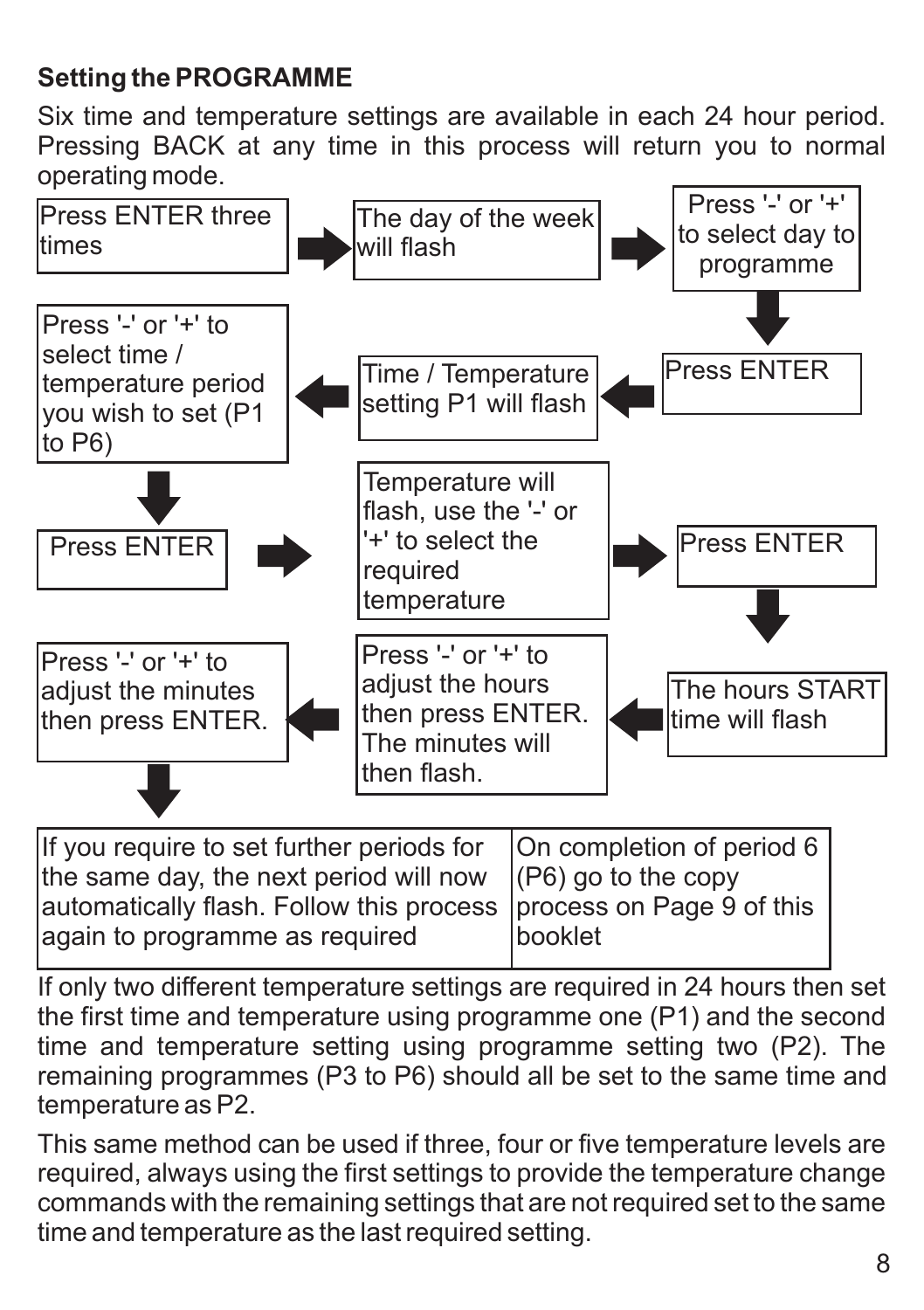#### **Setting the PROGRAMME**

Six time and temperature settings are available in each 24 hour period. Pressing BACK at any time in this process will return you to normal operating mode.



| If you require to set further periods for   On completion of period 6 |
|-----------------------------------------------------------------------|
| the same day, the next period will now $ (P6)$ go to the copy         |
| automatically flash. Follow this process  process on Page 9 of this   |
| Ibooklet                                                              |
|                                                                       |

If only two different temperature settings are required in 24 hours then set the first time and temperature using programme one (P1) and the second time and temperature setting using programme setting two (P2). The remaining programmes (P3 to P6) should all be set to the same time and temperature as P2.

This same method can be used if three, four or five temperature levels are required, always using the first settings to provide the temperature change commands with the remaining settings that are not required set to the same time and temperature as the last required setting.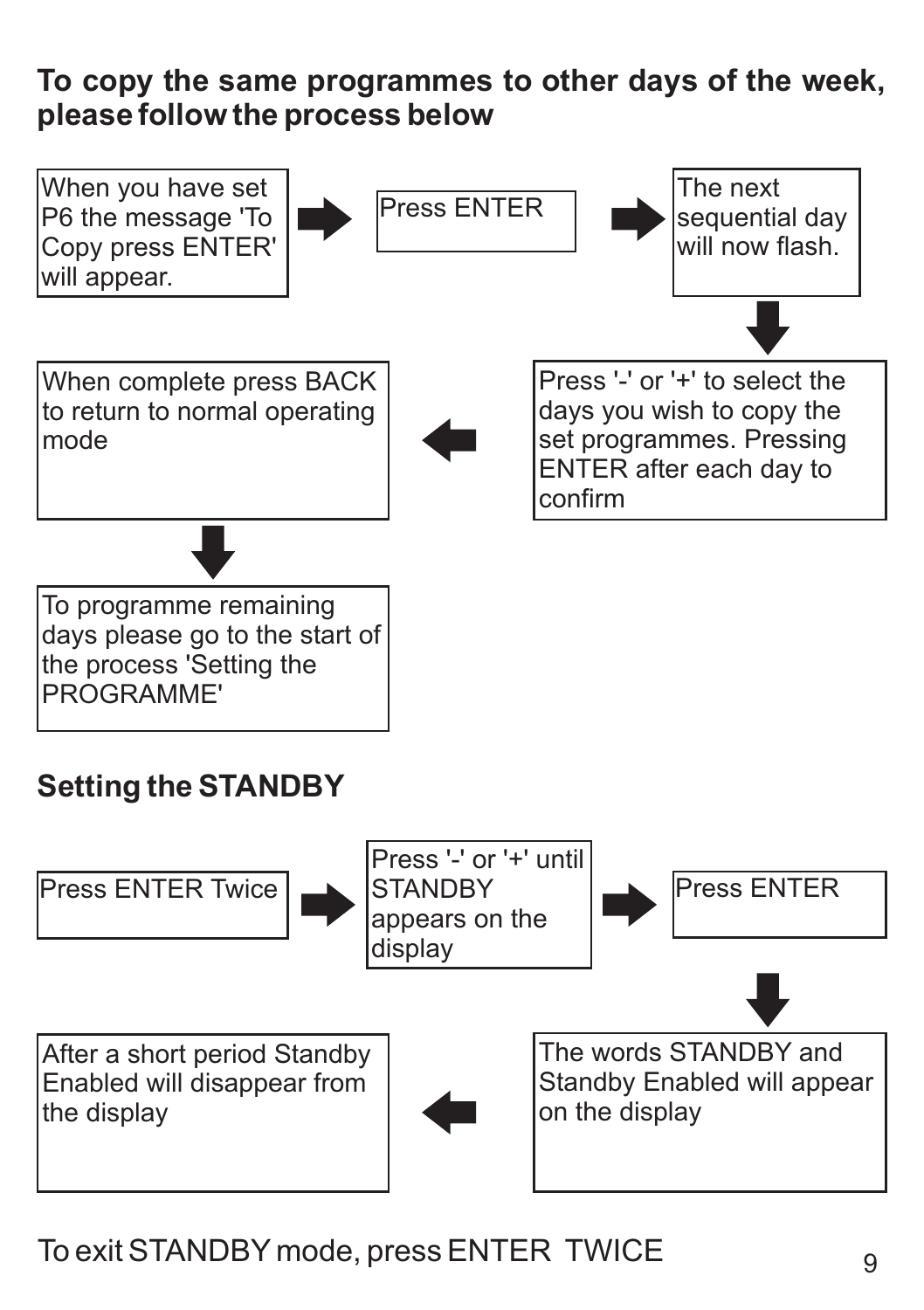#### **To copy the same programmes to other days of the week, please follow the process below**



### To exit STANDBY mode, press ENTER TWICE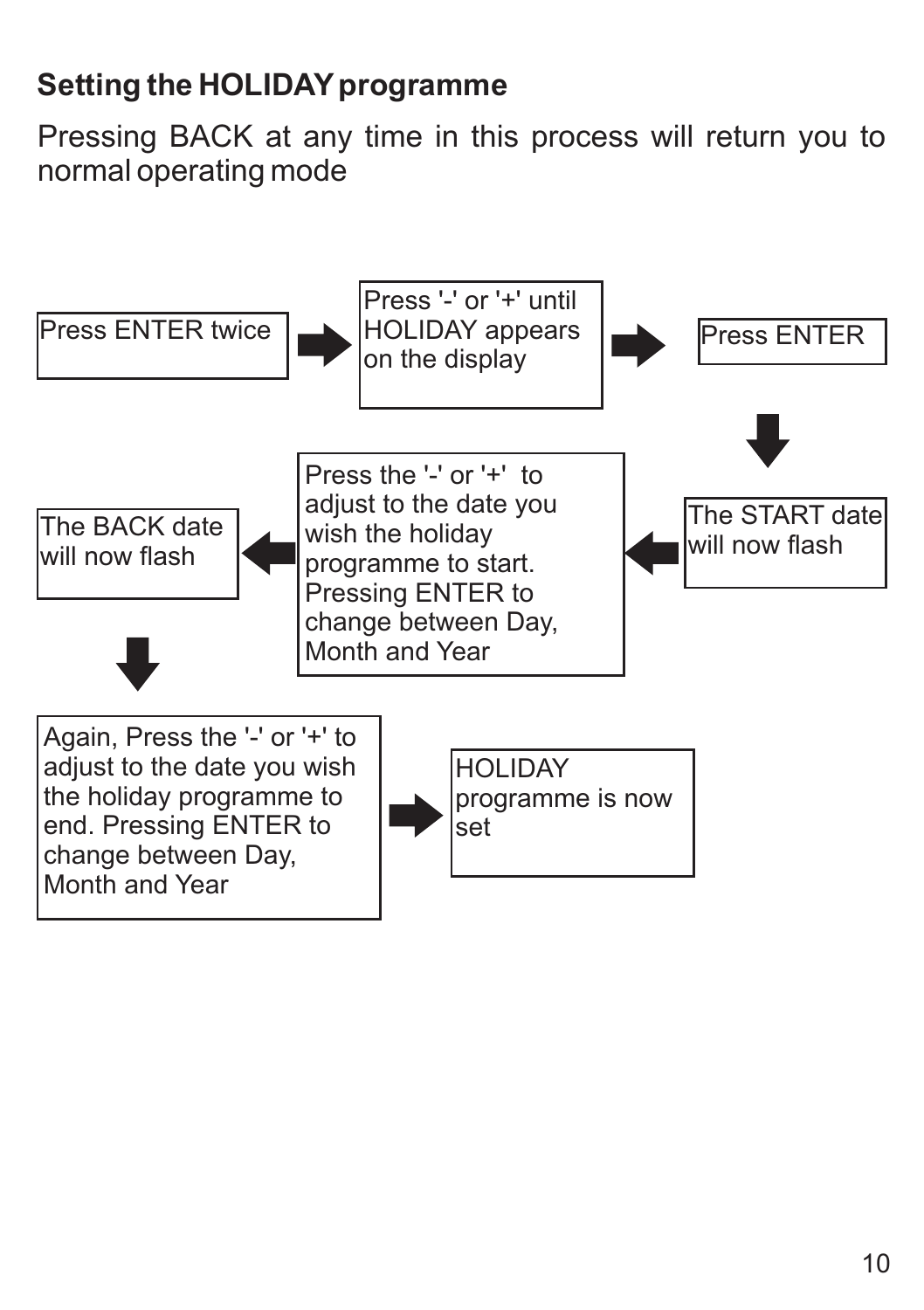# **Setting the HOLIDAY programme**

Pressing BACK at any time in this process will return you to normal operating mode

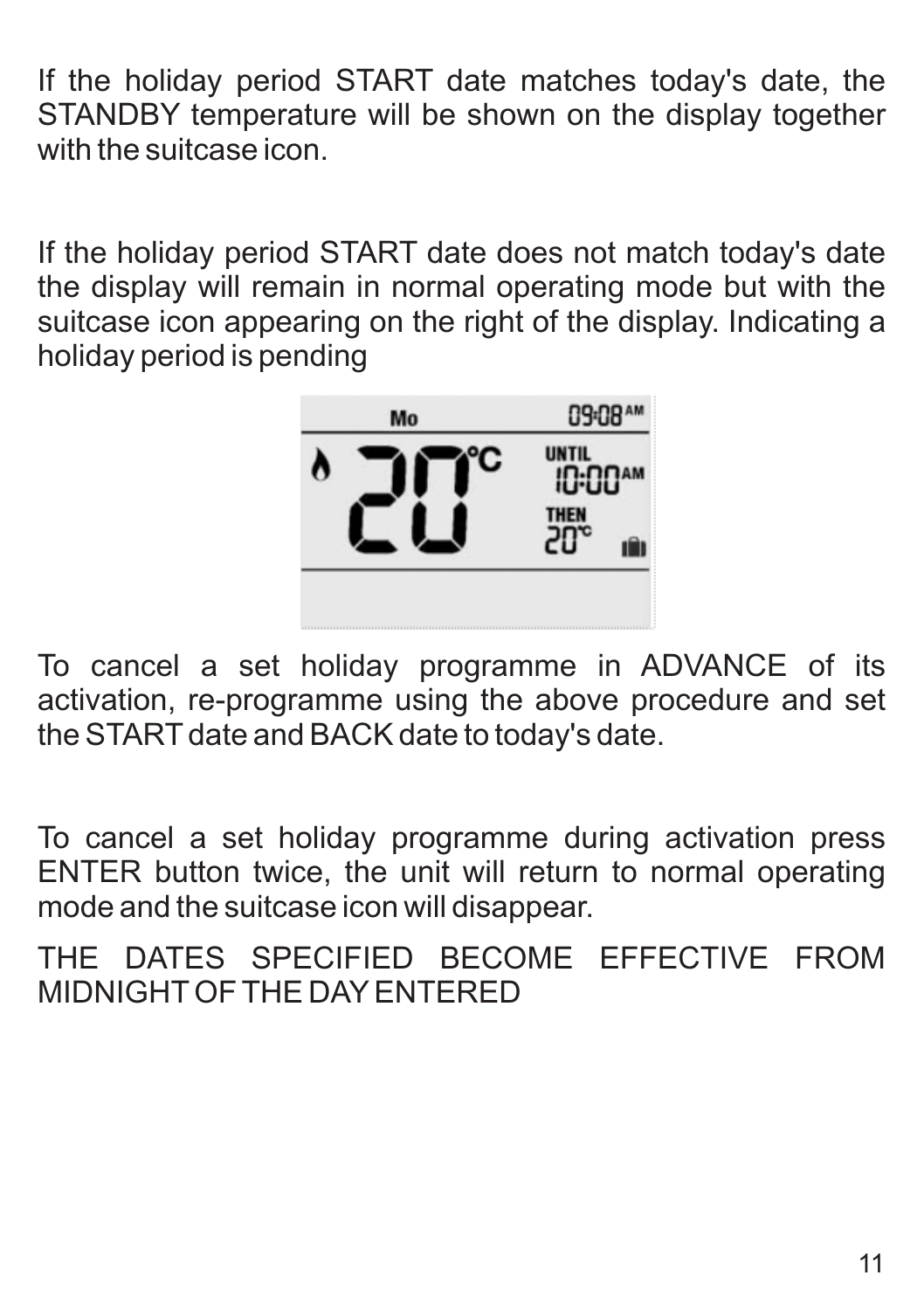If the holiday period START date matches today's date, the STANDBY temperature will be shown on the display together with the suitcase icon

If the holiday period START date does not match today's date the display will remain in normal operating mode but with the suitcase icon appearing on the right of the display. Indicating a holiday period is pending



To cancel a set holiday programme in ADVANCE of its activation, re-programme using the above procedure and set the START date and BACK date to today's date.

To cancel a set holiday programme during activation press ENTER button twice, the unit will return to normal operating mode and the suitcase icon will disappear.

THE DATES SPECIFIED BECOME EFFECTIVE FROM MIDNIGHTOF THE DAYENTERED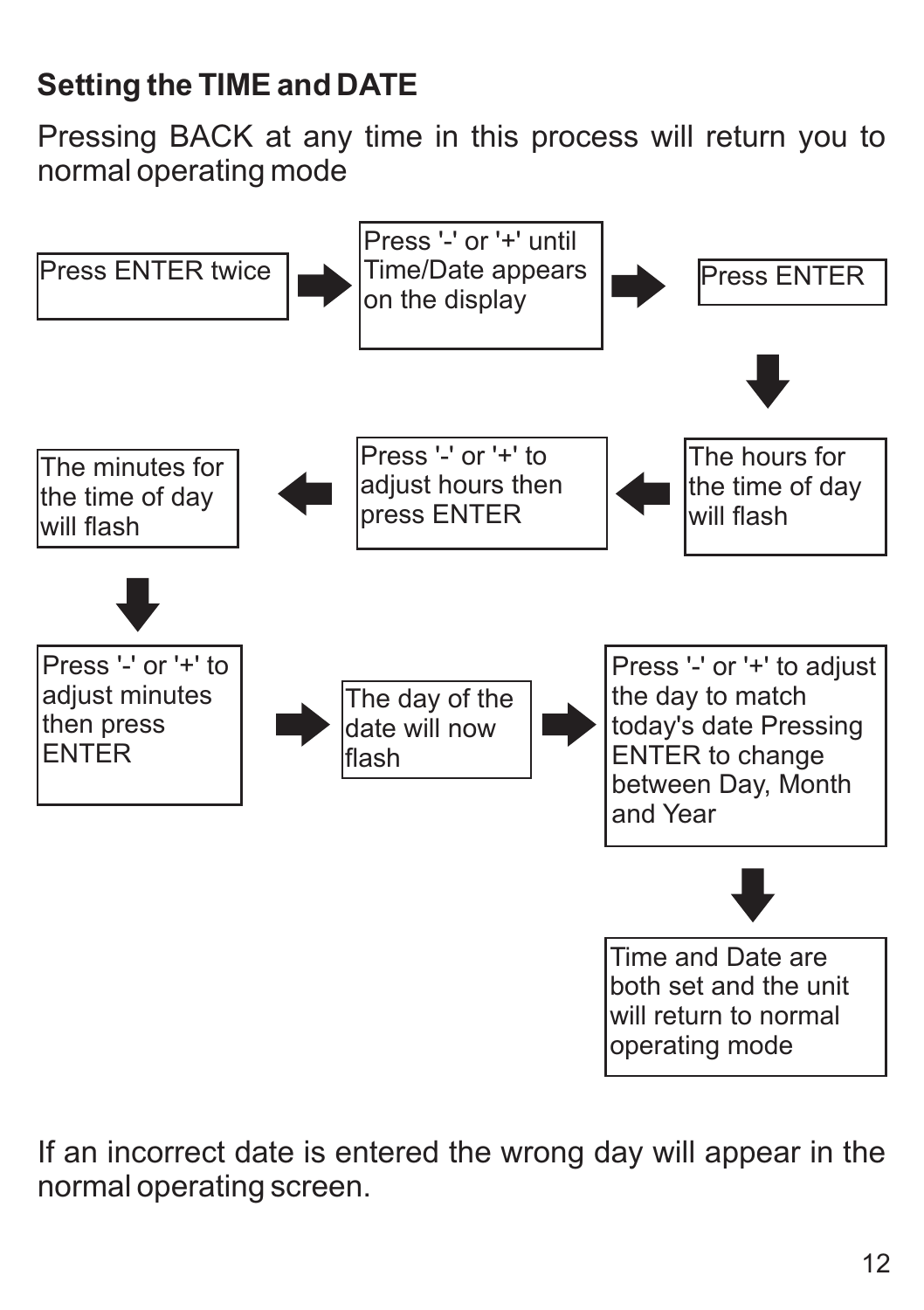# **Setting the TIME and DATE**

Pressing BACK at any time in this process will return you to normal operating mode



If an incorrect date is entered the wrong day will appear in the normal operating screen.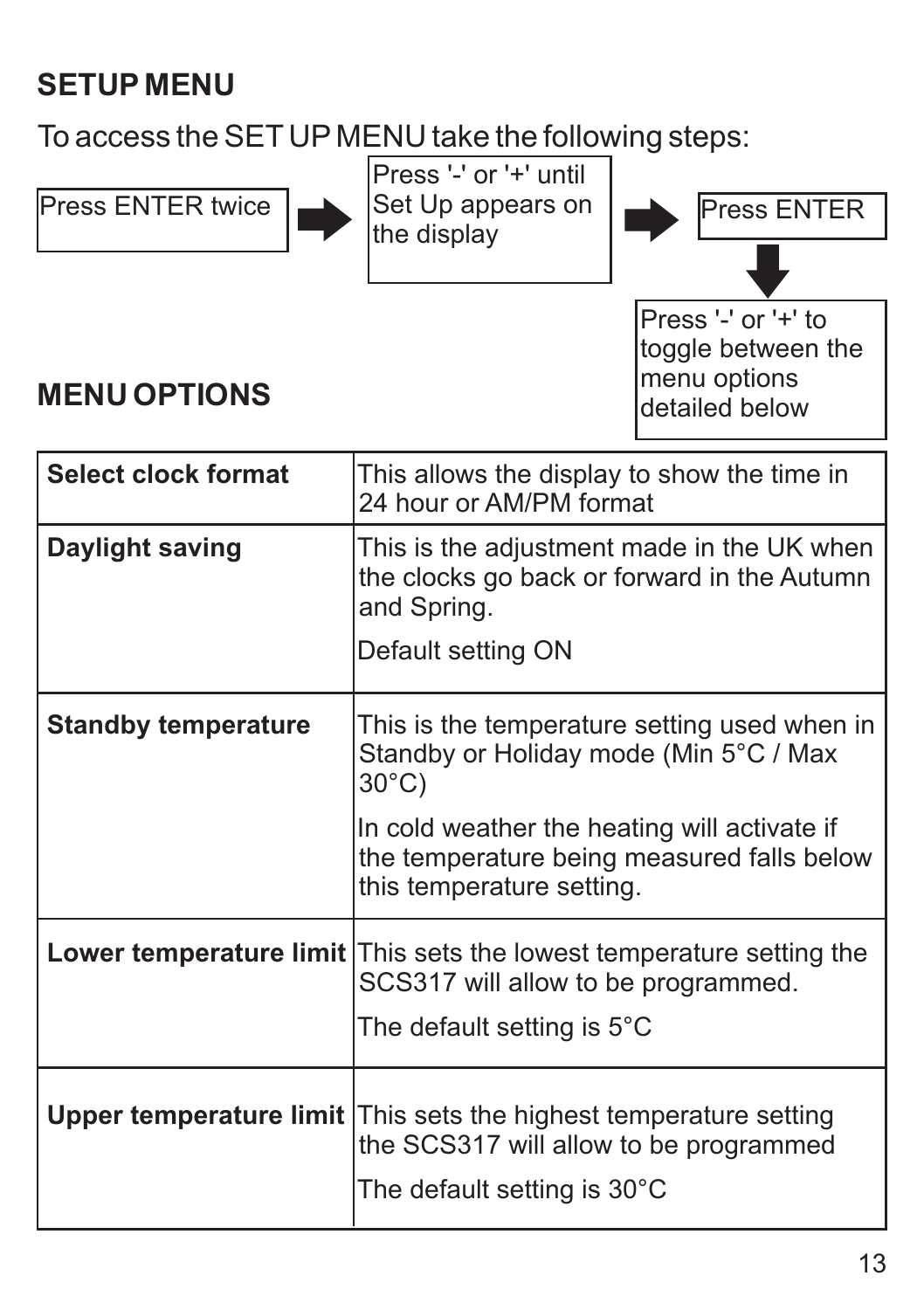# **SETUP MENU**

To access the SET UP MENU take the following steps:



Press '-' or '+' until the display



Press '-' or '+' to toggle between the menu options detailed below

# **MENU OPTIONS**

| Select clock format        | This allows the display to show the time in<br>24 hour or AM/PM format                                                                              |
|----------------------------|-----------------------------------------------------------------------------------------------------------------------------------------------------|
| Daylight saving            | This is the adjustment made in the UK when<br>the clocks go back or forward in the Autumn<br>and Spring.                                            |
|                            | Default setting ON                                                                                                                                  |
| <b>Standby temperature</b> | This is the temperature setting used when in<br>Standby or Holiday mode (Min 5°C / Max<br>30°C)                                                     |
|                            | In cold weather the heating will activate if<br>the temperature being measured falls below<br>this temperature setting.                             |
|                            | Lower temperature limit This sets the lowest temperature setting the<br>SCS317 will allow to be programmed.<br>The default setting is $5^{\circ}$ C |
|                            | <b>Upper temperature limit</b> This sets the highest temperature setting<br>the SCS317 will allow to be programmed<br>The default setting is 30°C   |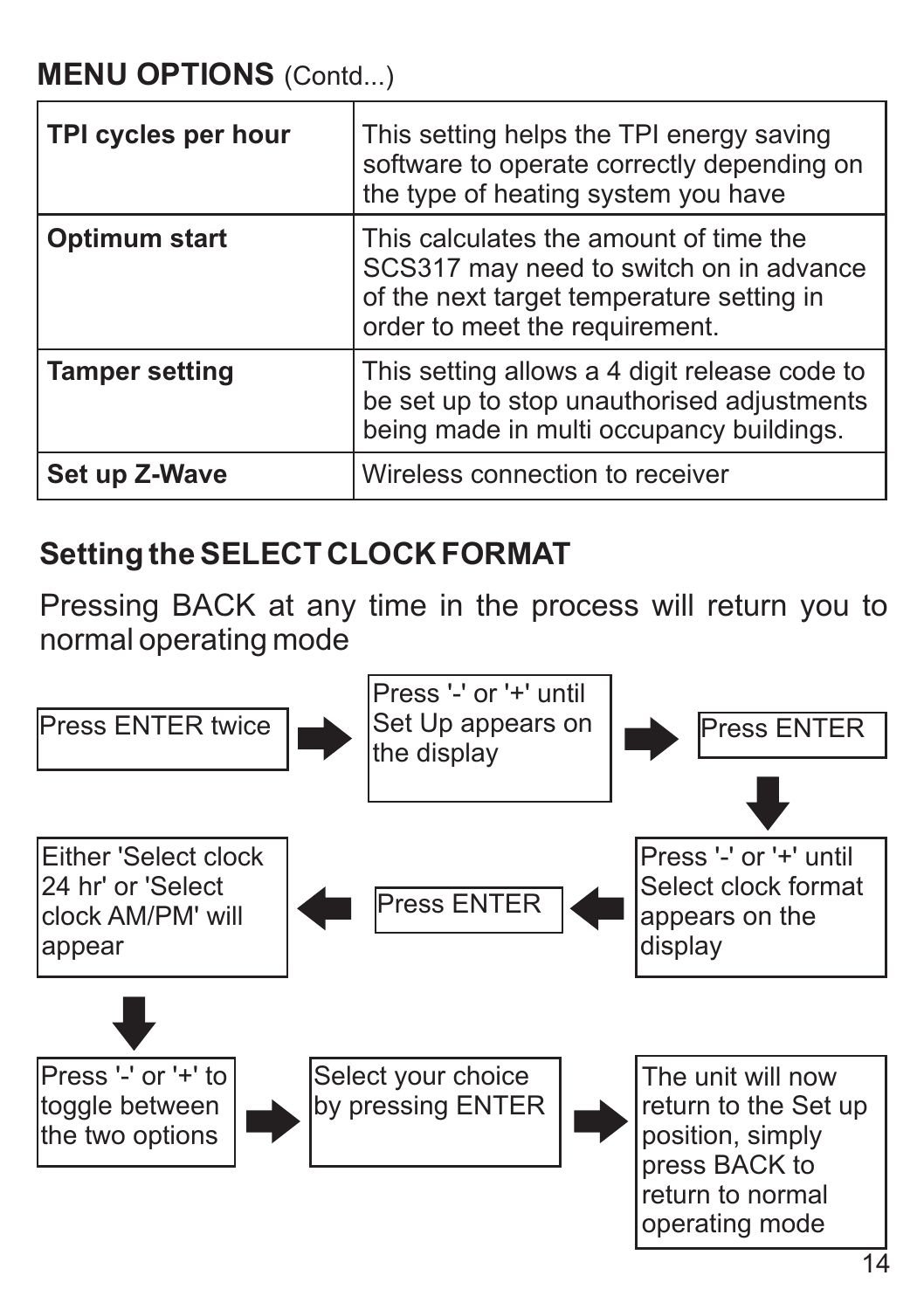| TPI cycles per hour   | This setting helps the TPI energy saving<br>software to operate correctly depending on<br>the type of heating system you have                                    |
|-----------------------|------------------------------------------------------------------------------------------------------------------------------------------------------------------|
| Optimum start         | This calculates the amount of time the<br>SCS317 may need to switch on in advance<br>of the next target temperature setting in<br>order to meet the requirement. |
| <b>Tamper setting</b> | This setting allows a 4 digit release code to<br>be set up to stop unauthorised adjustments<br>being made in multi occupancy buildings.                          |
| Set up Z-Wave         | Wireless connection to receiver                                                                                                                                  |

#### **Setting the SELECT CLOCK FORMAT**

Pressing BACK at any time in the process will return you to normal operating mode

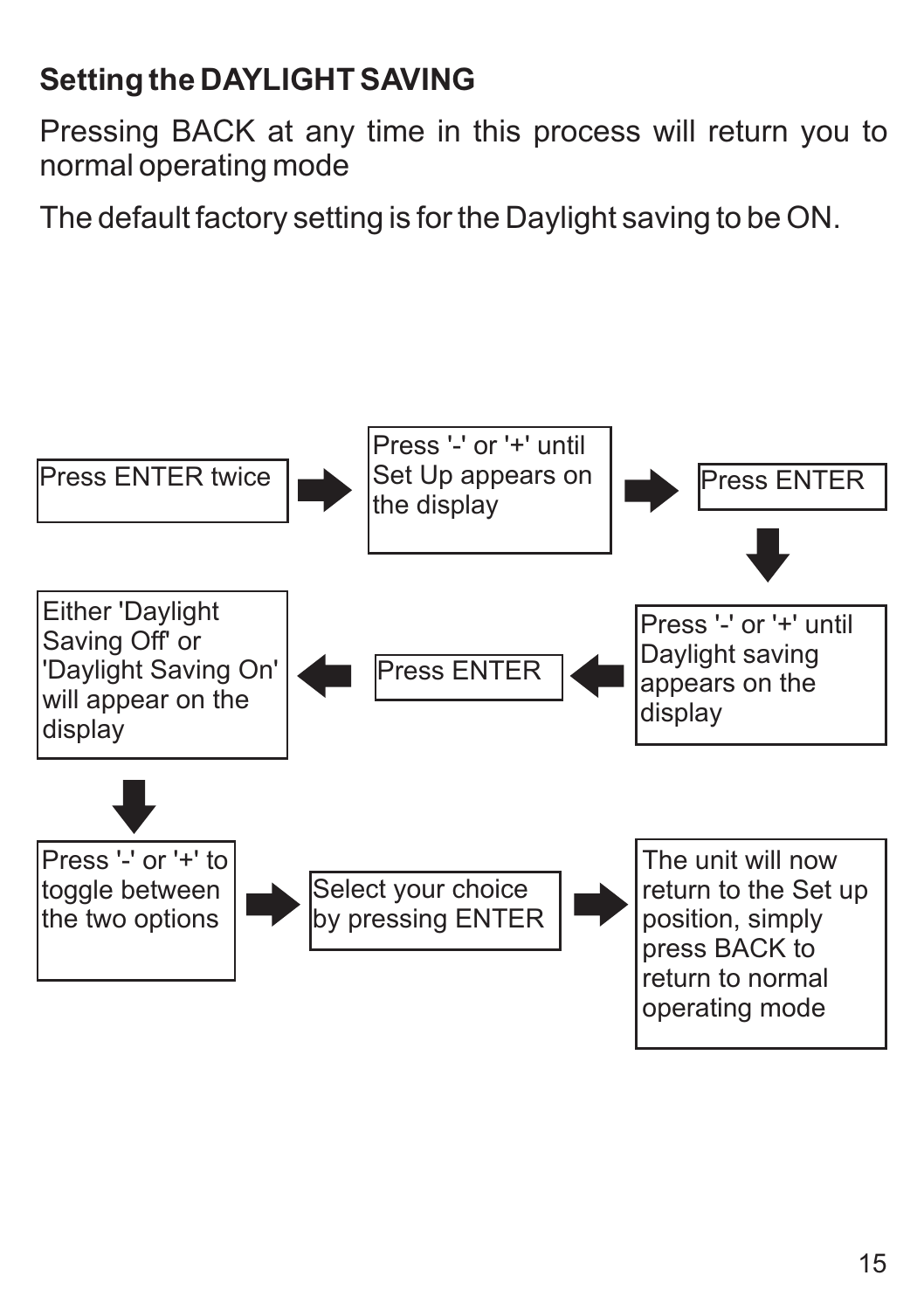# **Setting the DAYLIGHT SAVING**

Pressing BACK at any time in this process will return you to normal operating mode

The default factory setting is for the Daylight saving to be ON.

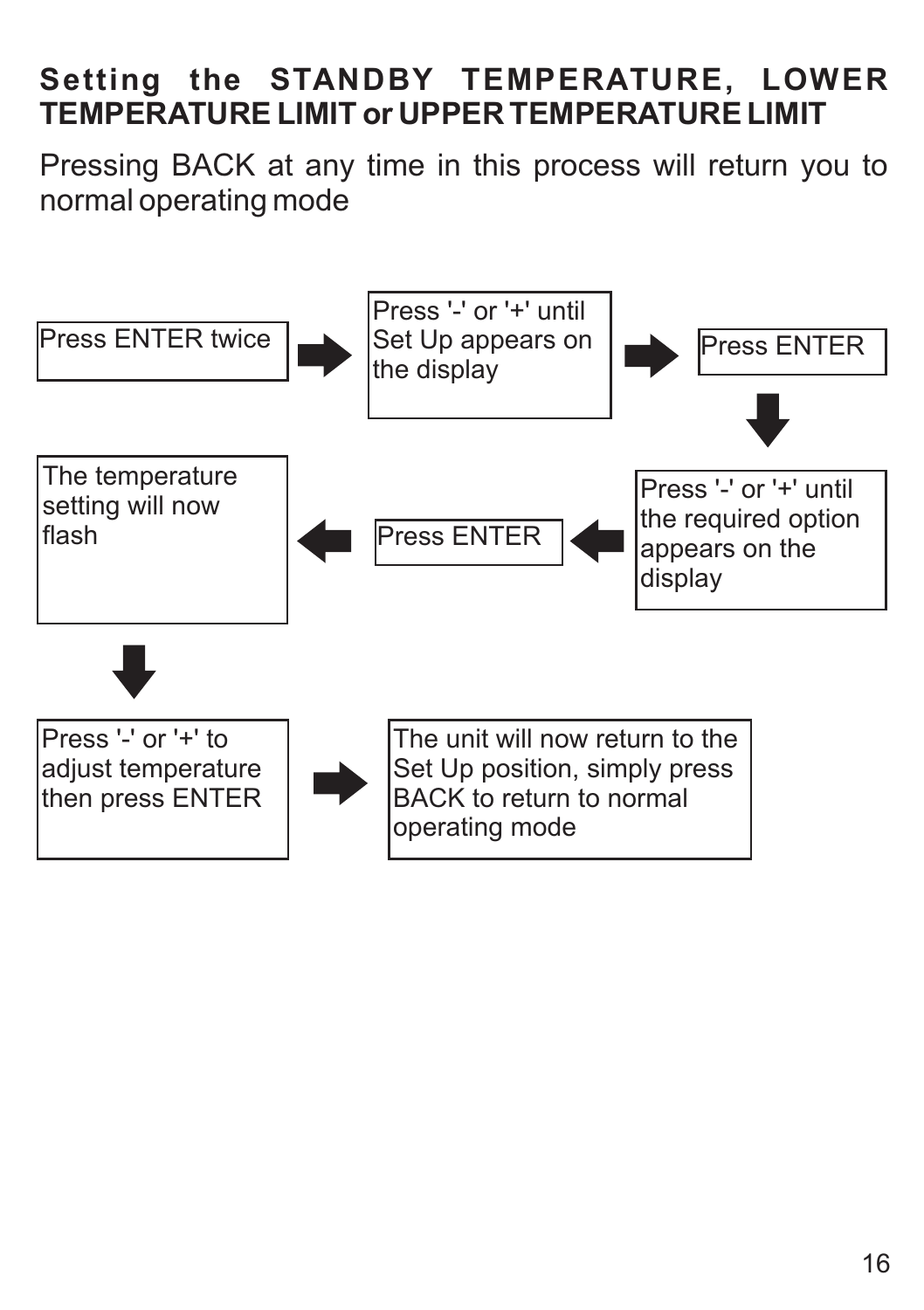# **Setting the STANDBY TEMPERATURE, LOWER TEMPERATURE LIMIT or UPPER TEMPERATURE LIMIT**

Pressing BACK at any time in this process will return you to normal operating mode

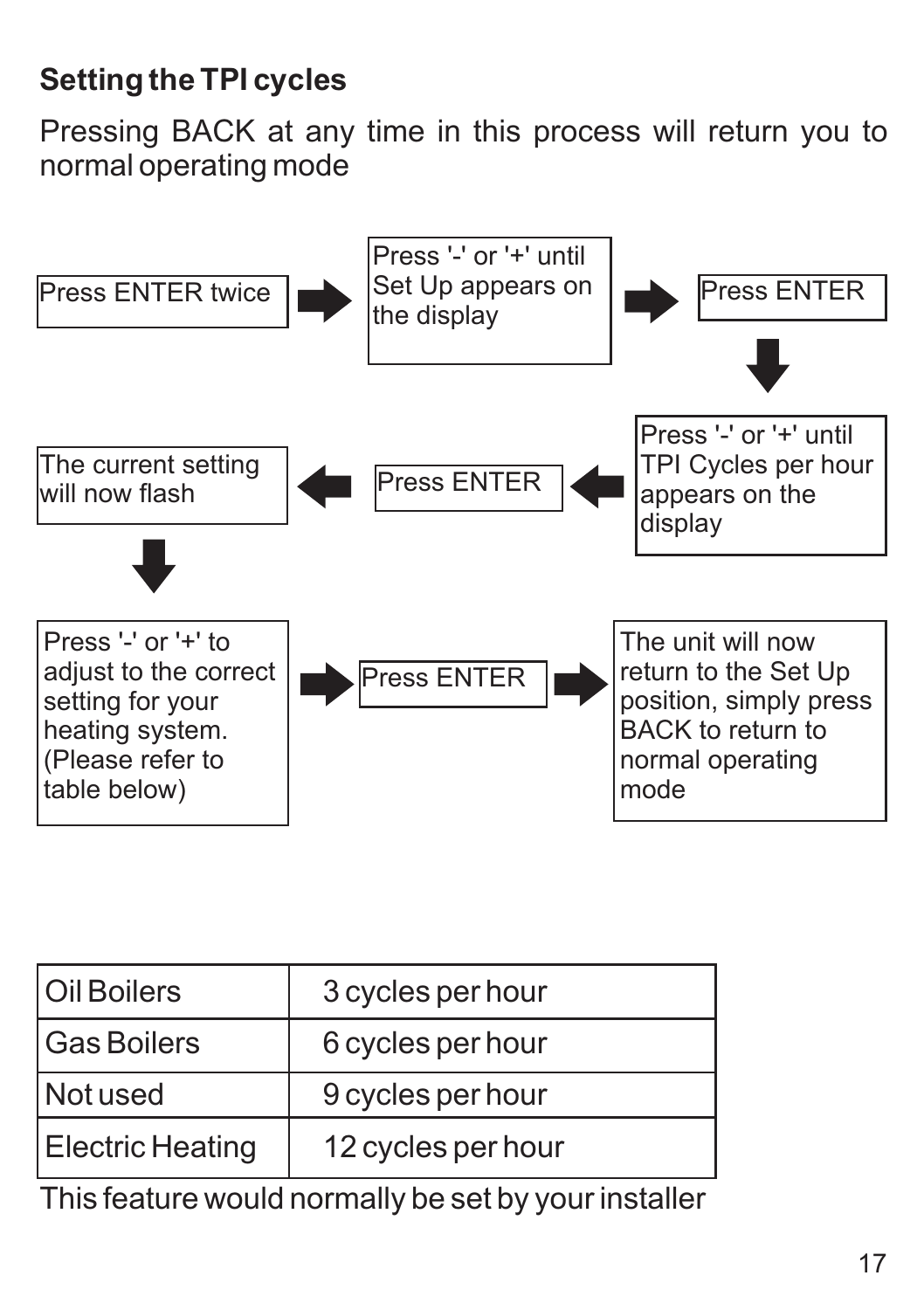# **Setting the TPI cycles**

Pressing BACK at any time in this process will return you to normal operating mode



| Oil Boilers             | 3 cycles per hour  |
|-------------------------|--------------------|
| <b>Gas Boilers</b>      | 6 cycles per hour  |
| Not used                | 9 cycles per hour  |
| <b>Electric Heating</b> | 12 cycles per hour |

This feature would normally be set by your installer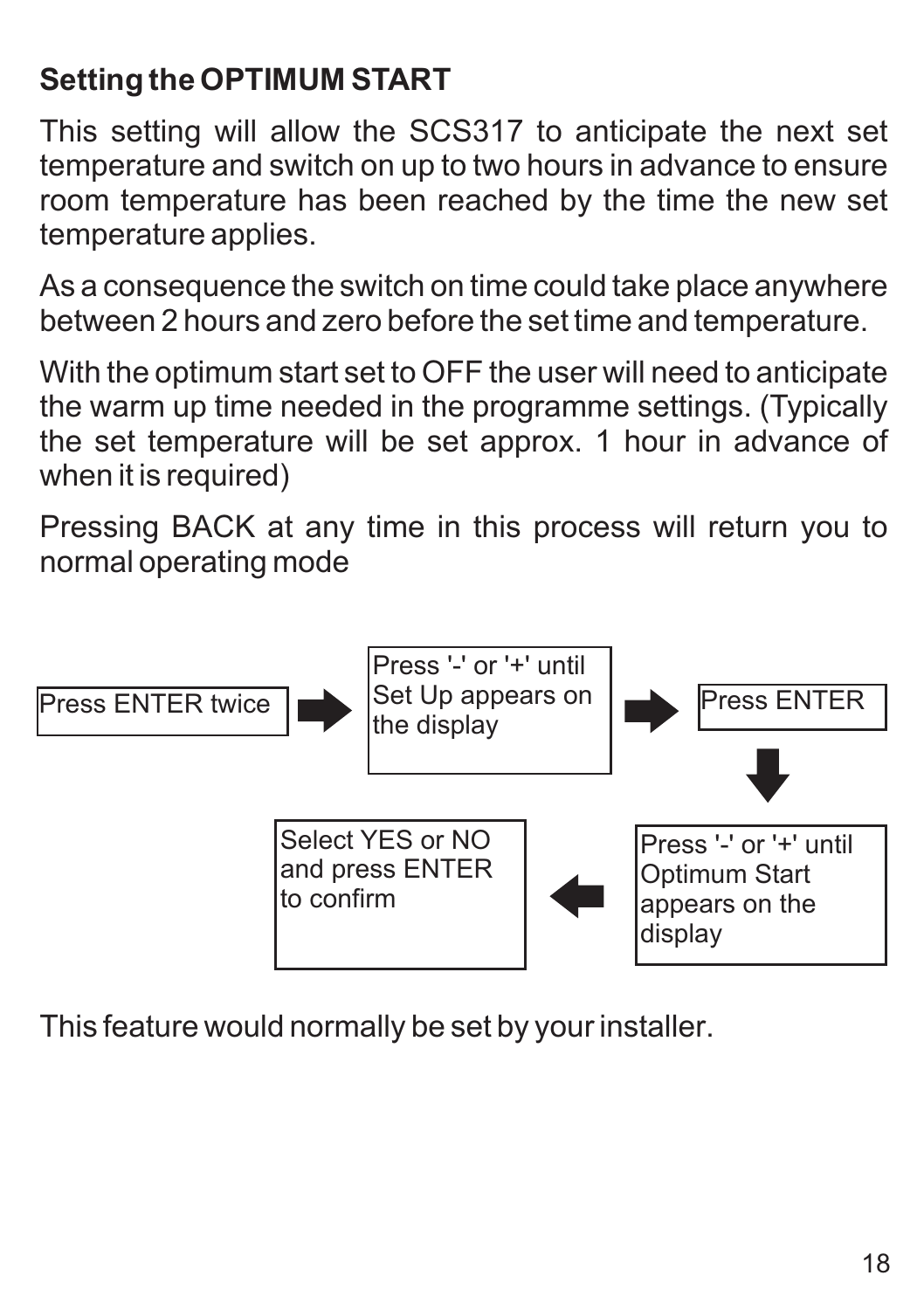# **Setting the OPTIMUM START**

This setting will allow the SCS317 to anticipate the next set temperature and switch on up to two hours in advance to ensure room temperature has been reached by the time the new set temperature applies.

As a consequence the switch on time could take place anywhere between 2 hours and zero before the set time and temperature.

With the optimum start set to OFF the user will need to anticipate the warm up time needed in the programme settings. (Typically the set temperature will be set approx. 1 hour in advance of when it is required)

Pressing BACK at any time in this process will return you to normal operating mode



This feature would normally be set by your installer.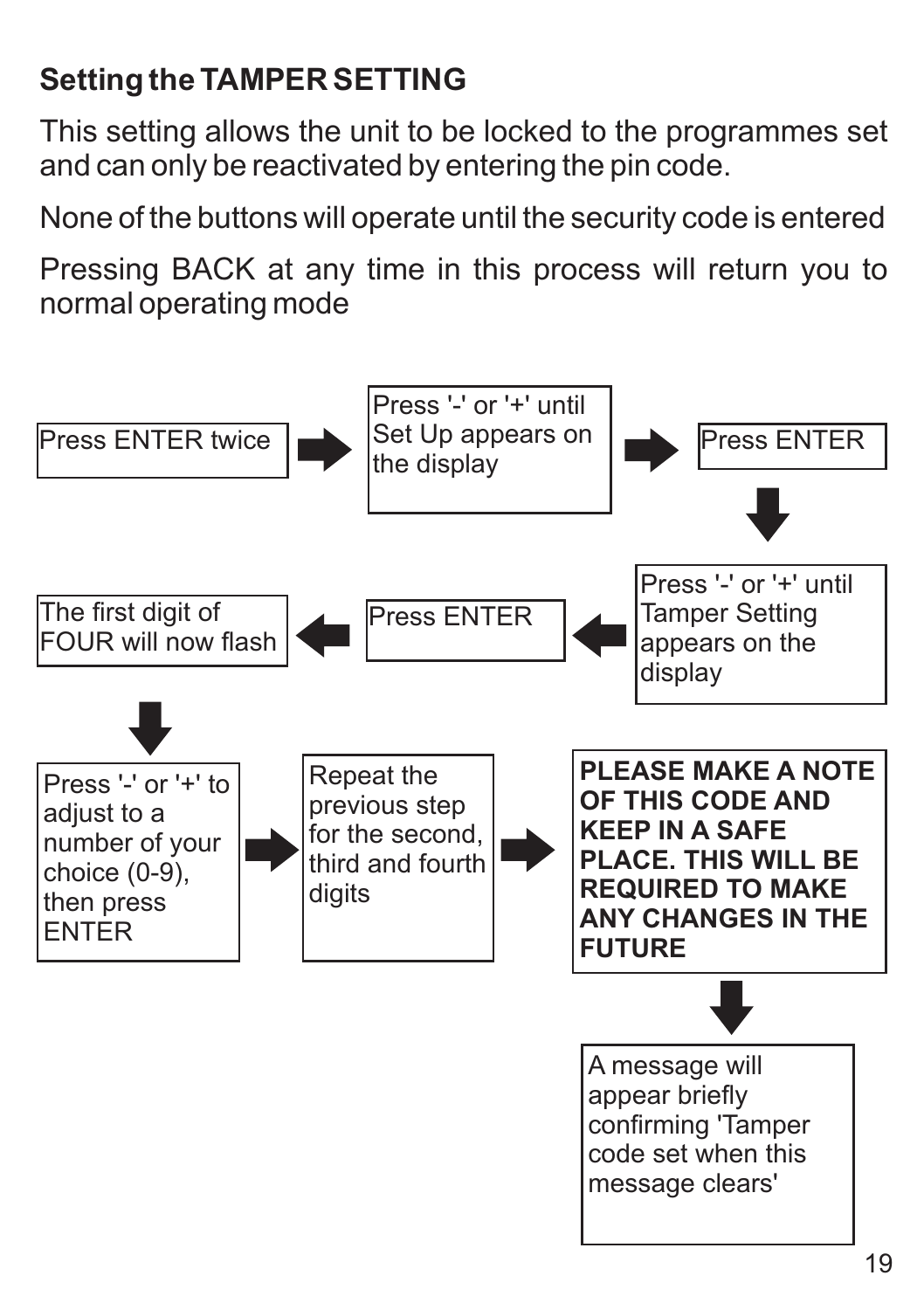# **Setting the TAMPER SETTING**

This setting allows the unit to be locked to the programmes set and can only be reactivated by entering the pin code.

None of the buttons will operate until the security code is entered

Pressing BACK at any time in this process will return you to normal operating mode

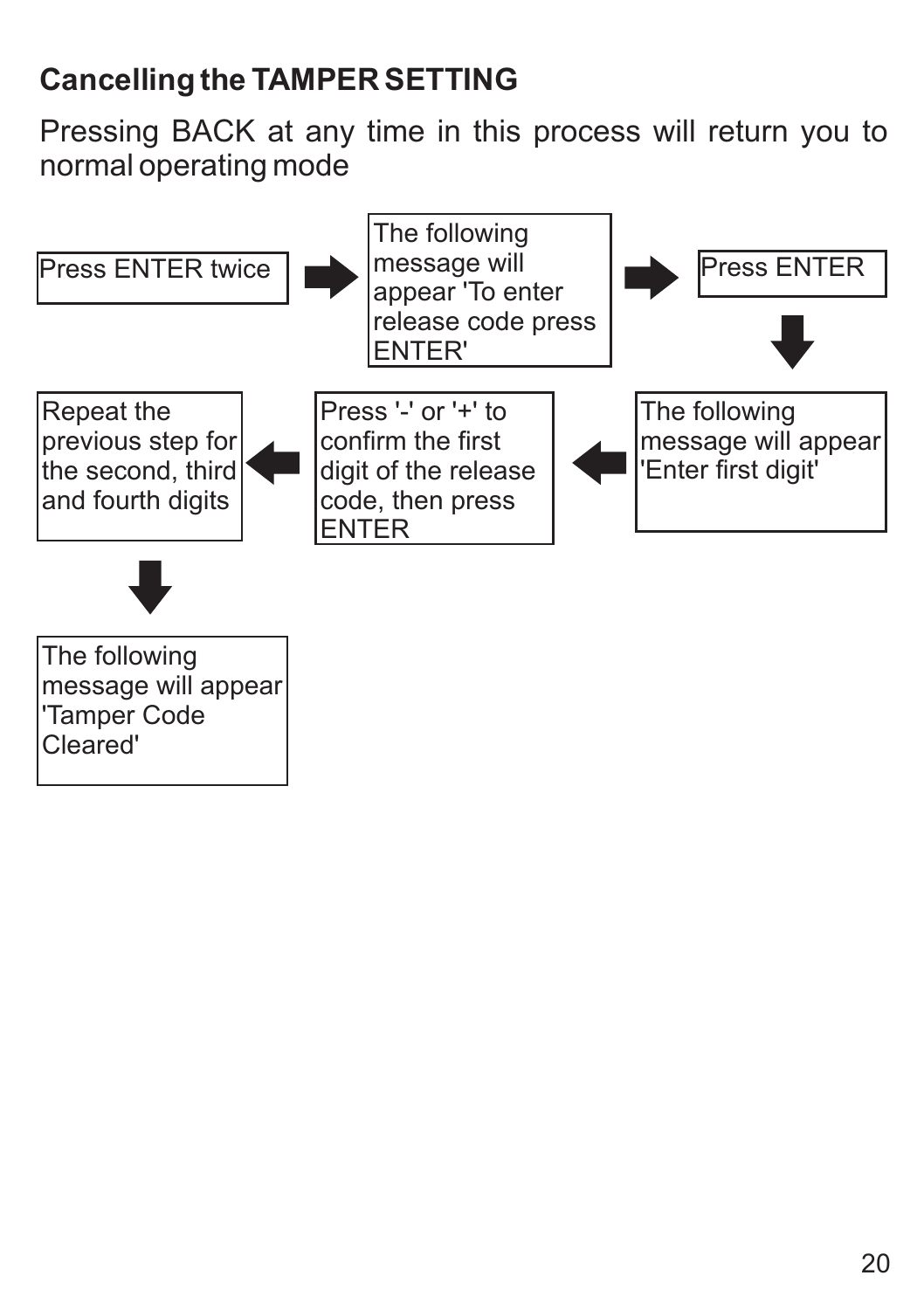# **Cancelling the TAMPER SETTING**

Pressing BACK at any time in this process will return you to normal operating mode

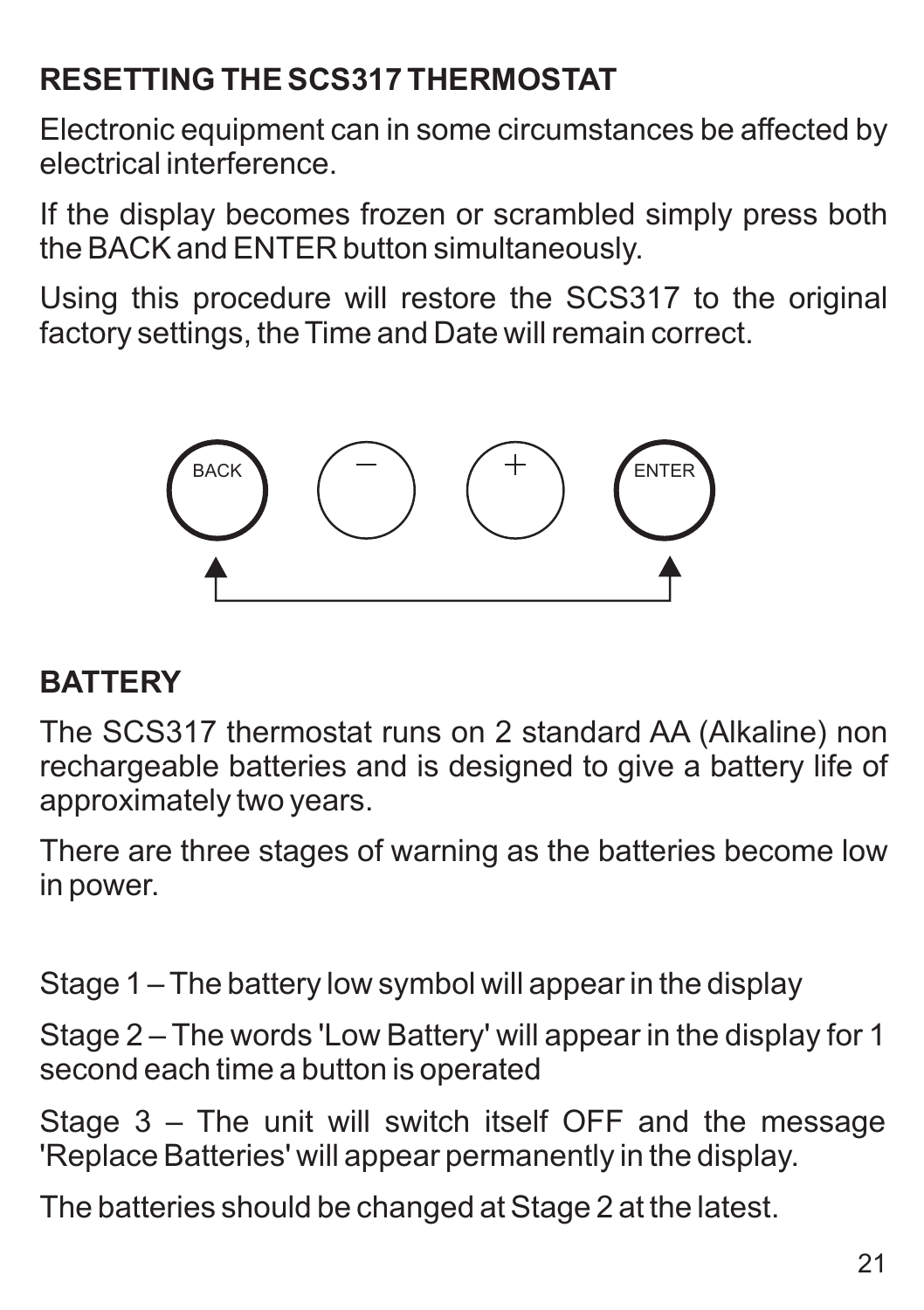# **RESETTING THE SCS317 THERMOSTAT**

Electronic equipment can in some circumstances be affected by electrical interference.

If the display becomes frozen or scrambled simply press both the BACK and ENTER button simultaneously.

Using this procedure will restore the SCS317 to the original factory settings, the Time and Date will remain correct.



# **BATTERY**

The SCS317 thermostat runs on 2 standard AA (Alkaline) non rechargeable batteries and is designed to give a battery life of approximately two years.

There are three stages of warning as the batteries become low in power.

Stage 1 – The battery low symbol will appear in the display

Stage 2 – The words 'Low Battery' will appear in the display for 1 second each time a button is operated

Stage 3 – The unit will switch itself OFF and the message 'Replace Batteries' will appear permanently in the display.

The batteries should be changed at Stage 2 at the latest.